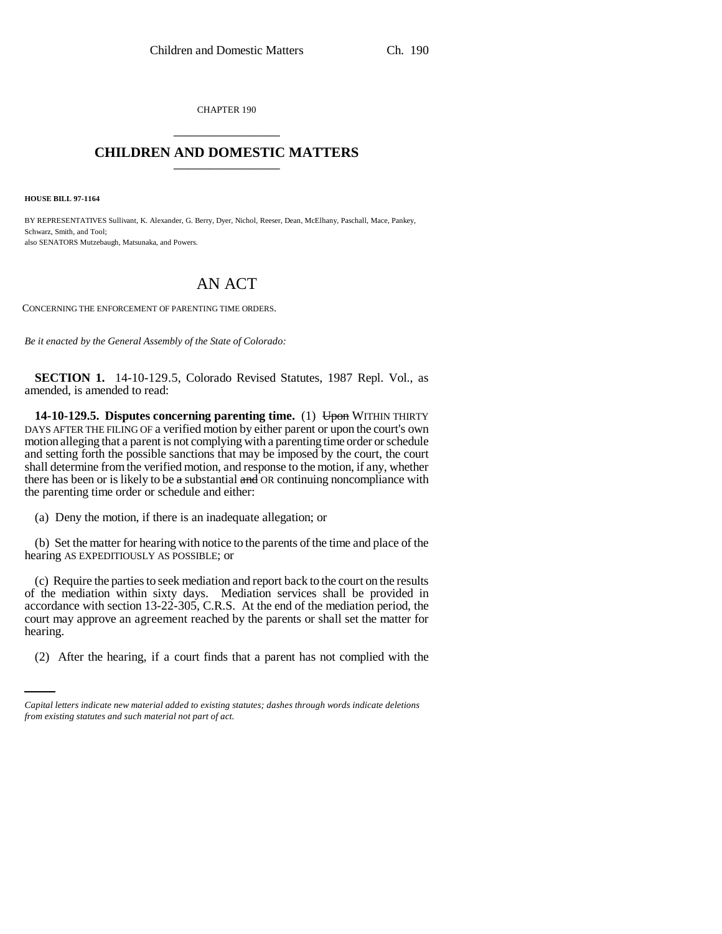CHAPTER 190 \_\_\_\_\_\_\_\_\_\_\_\_\_\_\_

## **CHILDREN AND DOMESTIC MATTERS** \_\_\_\_\_\_\_\_\_\_\_\_\_\_\_

**HOUSE BILL 97-1164**

BY REPRESENTATIVES Sullivant, K. Alexander, G. Berry, Dyer, Nichol, Reeser, Dean, McElhany, Paschall, Mace, Pankey, Schwarz, Smith, and Tool; also SENATORS Mutzebaugh, Matsunaka, and Powers.

## AN ACT

CONCERNING THE ENFORCEMENT OF PARENTING TIME ORDERS.

*Be it enacted by the General Assembly of the State of Colorado:*

**SECTION 1.** 14-10-129.5, Colorado Revised Statutes, 1987 Repl. Vol., as amended, is amended to read:

**14-10-129.5. Disputes concerning parenting time.** (1) Upon WITHIN THIRTY DAYS AFTER THE FILING OF a verified motion by either parent or upon the court's own motion alleging that a parent is not complying with a parenting time order or schedule and setting forth the possible sanctions that may be imposed by the court, the court shall determine from the verified motion, and response to the motion, if any, whether there has been or is likely to be a substantial  $\frac{1}{\text{and}}$  OR continuing noncompliance with the parenting time order or schedule and either:

(a) Deny the motion, if there is an inadequate allegation; or

(b) Set the matter for hearing with notice to the parents of the time and place of the hearing AS EXPEDITIOUSLY AS POSSIBLE; or

hearing. (c) Require the parties to seek mediation and report back to the court on the results of the mediation within sixty days. Mediation services shall be provided in accordance with section 13-22-305, C.R.S. At the end of the mediation period, the court may approve an agreement reached by the parents or shall set the matter for

(2) After the hearing, if a court finds that a parent has not complied with the

*Capital letters indicate new material added to existing statutes; dashes through words indicate deletions from existing statutes and such material not part of act.*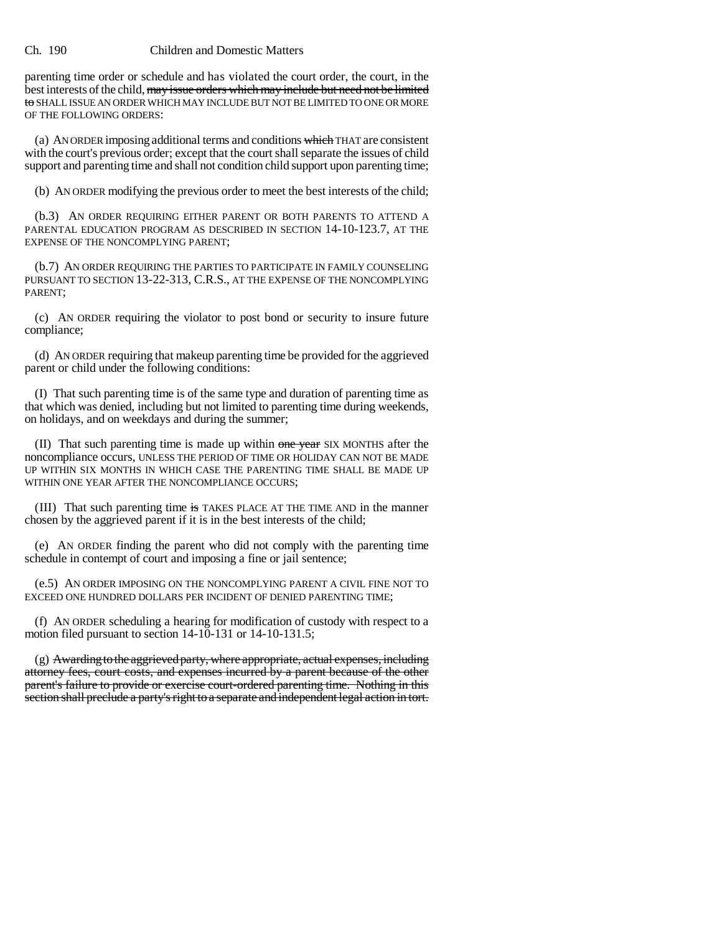## Ch. 190 Children and Domestic Matters

parenting time order or schedule and has violated the court order, the court, in the best interests of the child, may issue orders which may include but need not be limited to SHALL ISSUE AN ORDER WHICH MAY INCLUDE BUT NOT BE LIMITED TO ONE OR MORE OF THE FOLLOWING ORDERS:

(a) AN ORDER imposing additional terms and conditions which THAT are consistent with the court's previous order; except that the court shall separate the issues of child support and parenting time and shall not condition child support upon parenting time;

(b) AN ORDER modifying the previous order to meet the best interests of the child;

(b.3) AN ORDER REQUIRING EITHER PARENT OR BOTH PARENTS TO ATTEND A PARENTAL EDUCATION PROGRAM AS DESCRIBED IN SECTION 14-10-123.7, AT THE EXPENSE OF THE NONCOMPLYING PARENT;

(b.7) AN ORDER REQUIRING THE PARTIES TO PARTICIPATE IN FAMILY COUNSELING PURSUANT TO SECTION 13-22-313, C.R.S., AT THE EXPENSE OF THE NONCOMPLYING PARENT;

(c) AN ORDER requiring the violator to post bond or security to insure future compliance;

(d) AN ORDER requiring that makeup parenting time be provided for the aggrieved parent or child under the following conditions:

(I) That such parenting time is of the same type and duration of parenting time as that which was denied, including but not limited to parenting time during weekends, on holidays, and on weekdays and during the summer;

(II) That such parenting time is made up within one year SIX MONTHS after the noncompliance occurs, UNLESS THE PERIOD OF TIME OR HOLIDAY CAN NOT BE MADE UP WITHIN SIX MONTHS IN WHICH CASE THE PARENTING TIME SHALL BE MADE UP WITHIN ONE YEAR AFTER THE NONCOMPLIANCE OCCURS;

(III) That such parenting time is TAKES PLACE AT THE TIME AND in the manner chosen by the aggrieved parent if it is in the best interests of the child;

(e) AN ORDER finding the parent who did not comply with the parenting time schedule in contempt of court and imposing a fine or jail sentence;

(e.5) AN ORDER IMPOSING ON THE NONCOMPLYING PARENT A CIVIL FINE NOT TO EXCEED ONE HUNDRED DOLLARS PER INCIDENT OF DENIED PARENTING TIME;

(f) AN ORDER scheduling a hearing for modification of custody with respect to a motion filed pursuant to section 14-10-131 or 14-10-131.5;

(g) Awarding to the aggrieved party, where appropriate, actual expenses, including attorney fees, court costs, and expenses incurred by a parent because of the other parent's failure to provide or exercise court-ordered parenting time. Nothing in this section shall preclude a party's right to a separate and independent legal action in tort.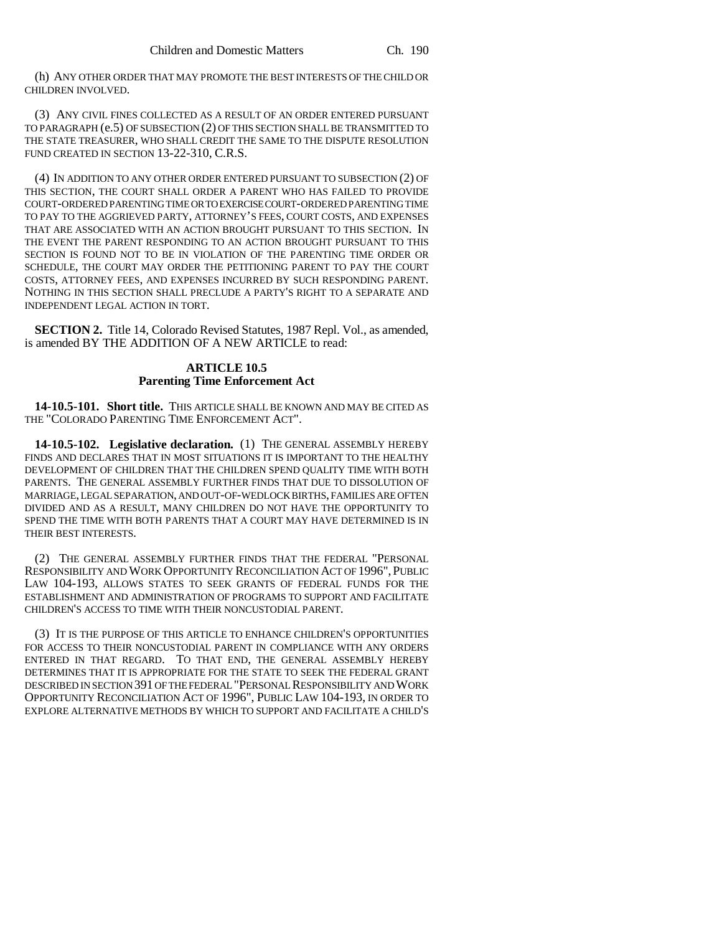(h) ANY OTHER ORDER THAT MAY PROMOTE THE BEST INTERESTS OF THE CHILD OR CHILDREN INVOLVED.

(3) ANY CIVIL FINES COLLECTED AS A RESULT OF AN ORDER ENTERED PURSUANT TO PARAGRAPH (e.5) OF SUBSECTION (2) OF THIS SECTION SHALL BE TRANSMITTED TO THE STATE TREASURER, WHO SHALL CREDIT THE SAME TO THE DISPUTE RESOLUTION FUND CREATED IN SECTION 13-22-310, C.R.S.

(4) IN ADDITION TO ANY OTHER ORDER ENTERED PURSUANT TO SUBSECTION (2) OF THIS SECTION, THE COURT SHALL ORDER A PARENT WHO HAS FAILED TO PROVIDE COURT-ORDERED PARENTING TIME OR TO EXERCISE COURT-ORDERED PARENTING TIME TO PAY TO THE AGGRIEVED PARTY, ATTORNEY'S FEES, COURT COSTS, AND EXPENSES THAT ARE ASSOCIATED WITH AN ACTION BROUGHT PURSUANT TO THIS SECTION. IN THE EVENT THE PARENT RESPONDING TO AN ACTION BROUGHT PURSUANT TO THIS SECTION IS FOUND NOT TO BE IN VIOLATION OF THE PARENTING TIME ORDER OR SCHEDULE, THE COURT MAY ORDER THE PETITIONING PARENT TO PAY THE COURT COSTS, ATTORNEY FEES, AND EXPENSES INCURRED BY SUCH RESPONDING PARENT. NOTHING IN THIS SECTION SHALL PRECLUDE A PARTY'S RIGHT TO A SEPARATE AND INDEPENDENT LEGAL ACTION IN TORT.

**SECTION 2.** Title 14, Colorado Revised Statutes, 1987 Repl. Vol., as amended, is amended BY THE ADDITION OF A NEW ARTICLE to read:

## **ARTICLE 10.5 Parenting Time Enforcement Act**

**14-10.5-101. Short title.** THIS ARTICLE SHALL BE KNOWN AND MAY BE CITED AS THE "COLORADO PARENTING TIME ENFORCEMENT ACT".

**14-10.5-102. Legislative declaration.** (1) THE GENERAL ASSEMBLY HEREBY FINDS AND DECLARES THAT IN MOST SITUATIONS IT IS IMPORTANT TO THE HEALTHY DEVELOPMENT OF CHILDREN THAT THE CHILDREN SPEND QUALITY TIME WITH BOTH PARENTS. THE GENERAL ASSEMBLY FURTHER FINDS THAT DUE TO DISSOLUTION OF MARRIAGE, LEGAL SEPARATION, AND OUT-OF-WEDLOCK BIRTHS, FAMILIES ARE OFTEN DIVIDED AND AS A RESULT, MANY CHILDREN DO NOT HAVE THE OPPORTUNITY TO SPEND THE TIME WITH BOTH PARENTS THAT A COURT MAY HAVE DETERMINED IS IN THEIR BEST INTERESTS.

(2) THE GENERAL ASSEMBLY FURTHER FINDS THAT THE FEDERAL "PERSONAL RESPONSIBILITY AND WORK OPPORTUNITY RECONCILIATION ACT OF 1996", PUBLIC LAW 104-193, ALLOWS STATES TO SEEK GRANTS OF FEDERAL FUNDS FOR THE ESTABLISHMENT AND ADMINISTRATION OF PROGRAMS TO SUPPORT AND FACILITATE CHILDREN'S ACCESS TO TIME WITH THEIR NONCUSTODIAL PARENT.

(3) IT IS THE PURPOSE OF THIS ARTICLE TO ENHANCE CHILDREN'S OPPORTUNITIES FOR ACCESS TO THEIR NONCUSTODIAL PARENT IN COMPLIANCE WITH ANY ORDERS ENTERED IN THAT REGARD. TO THAT END, THE GENERAL ASSEMBLY HEREBY DETERMINES THAT IT IS APPROPRIATE FOR THE STATE TO SEEK THE FEDERAL GRANT DESCRIBED IN SECTION 391 OF THE FEDERAL "PERSONAL RESPONSIBILITY AND WORK OPPORTUNITY RECONCILIATION ACT OF 1996", PUBLIC LAW 104-193, IN ORDER TO EXPLORE ALTERNATIVE METHODS BY WHICH TO SUPPORT AND FACILITATE A CHILD'S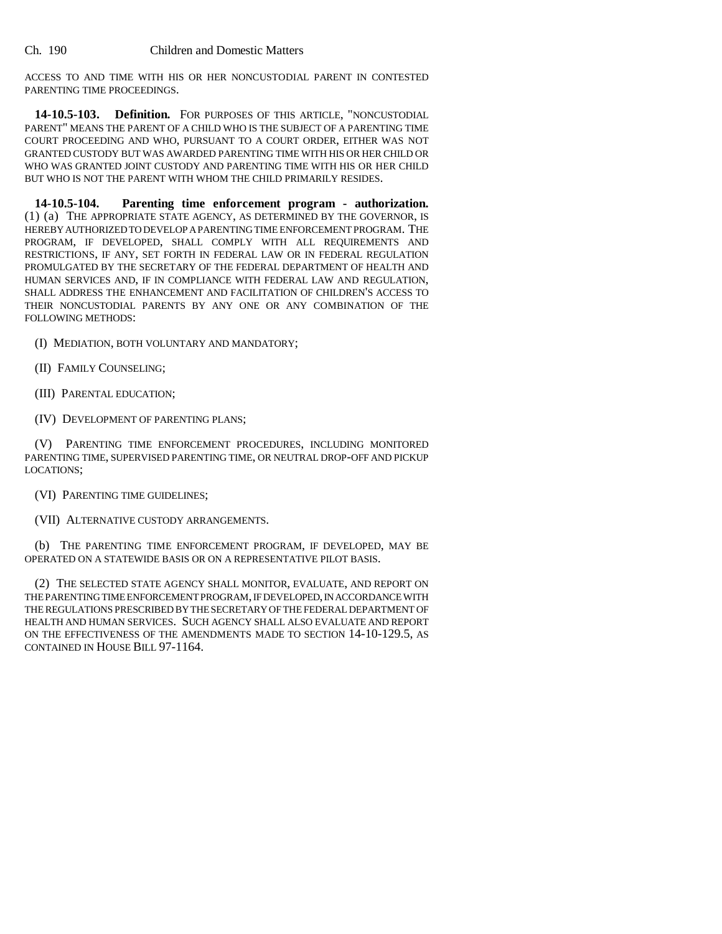ACCESS TO AND TIME WITH HIS OR HER NONCUSTODIAL PARENT IN CONTESTED PARENTING TIME PROCEEDINGS.

**14-10.5-103. Definition.** FOR PURPOSES OF THIS ARTICLE, "NONCUSTODIAL PARENT" MEANS THE PARENT OF A CHILD WHO IS THE SUBJECT OF A PARENTING TIME COURT PROCEEDING AND WHO, PURSUANT TO A COURT ORDER, EITHER WAS NOT GRANTED CUSTODY BUT WAS AWARDED PARENTING TIME WITH HIS OR HER CHILD OR WHO WAS GRANTED JOINT CUSTODY AND PARENTING TIME WITH HIS OR HER CHILD BUT WHO IS NOT THE PARENT WITH WHOM THE CHILD PRIMARILY RESIDES.

**14-10.5-104. Parenting time enforcement program - authorization.** (1) (a) THE APPROPRIATE STATE AGENCY, AS DETERMINED BY THE GOVERNOR, IS HEREBY AUTHORIZED TO DEVELOP A PARENTING TIME ENFORCEMENT PROGRAM. THE PROGRAM, IF DEVELOPED, SHALL COMPLY WITH ALL REQUIREMENTS AND RESTRICTIONS, IF ANY, SET FORTH IN FEDERAL LAW OR IN FEDERAL REGULATION PROMULGATED BY THE SECRETARY OF THE FEDERAL DEPARTMENT OF HEALTH AND HUMAN SERVICES AND, IF IN COMPLIANCE WITH FEDERAL LAW AND REGULATION, SHALL ADDRESS THE ENHANCEMENT AND FACILITATION OF CHILDREN'S ACCESS TO THEIR NONCUSTODIAL PARENTS BY ANY ONE OR ANY COMBINATION OF THE FOLLOWING METHODS:

- (I) MEDIATION, BOTH VOLUNTARY AND MANDATORY;
- (II) FAMILY COUNSELING;
- (III) PARENTAL EDUCATION;
- (IV) DEVELOPMENT OF PARENTING PLANS;

(V) PARENTING TIME ENFORCEMENT PROCEDURES, INCLUDING MONITORED PARENTING TIME, SUPERVISED PARENTING TIME, OR NEUTRAL DROP-OFF AND PICKUP LOCATIONS;

(VI) PARENTING TIME GUIDELINES;

(VII) ALTERNATIVE CUSTODY ARRANGEMENTS.

(b) THE PARENTING TIME ENFORCEMENT PROGRAM, IF DEVELOPED, MAY BE OPERATED ON A STATEWIDE BASIS OR ON A REPRESENTATIVE PILOT BASIS.

(2) THE SELECTED STATE AGENCY SHALL MONITOR, EVALUATE, AND REPORT ON THE PARENTING TIME ENFORCEMENT PROGRAM, IF DEVELOPED, IN ACCORDANCE WITH THE REGULATIONS PRESCRIBED BY THE SECRETARY OF THE FEDERAL DEPARTMENT OF HEALTH AND HUMAN SERVICES. SUCH AGENCY SHALL ALSO EVALUATE AND REPORT ON THE EFFECTIVENESS OF THE AMENDMENTS MADE TO SECTION 14-10-129.5, AS CONTAINED IN HOUSE BILL 97-1164.